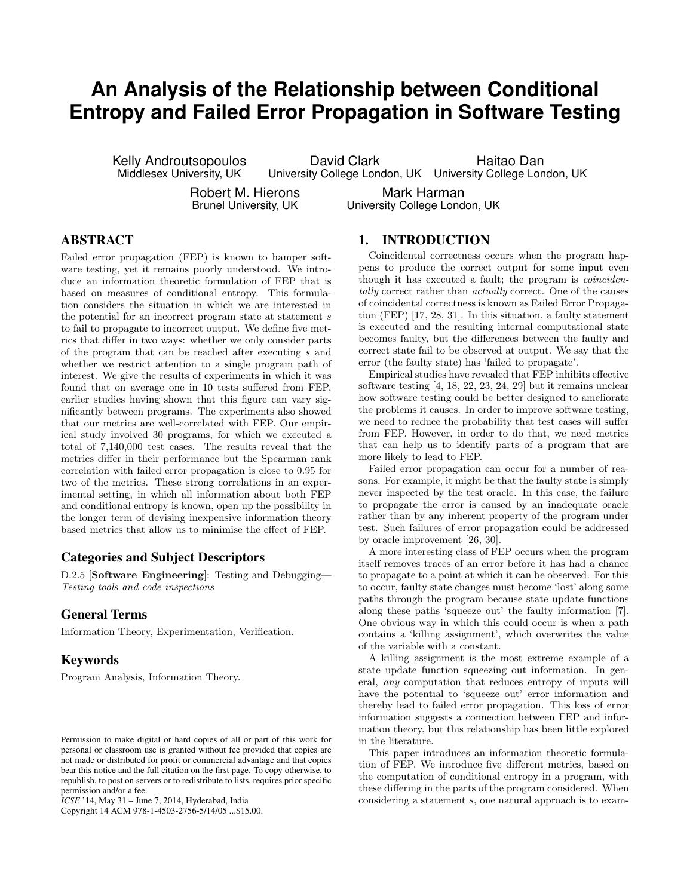# **An Analysis of the Relationship between Conditional Entropy and Failed Error Propagation in Software Testing**

Kelly Androutsopoulos Middlesex University, UK

David Clark

Haitao Dan

University College London, UK University College London, UK

Robert M. Hierons Brunel University, UK

Mark Harman University College London, UK

# ABSTRACT

Failed error propagation (FEP) is known to hamper software testing, yet it remains poorly understood. We introduce an information theoretic formulation of FEP that is based on measures of conditional entropy. This formulation considers the situation in which we are interested in the potential for an incorrect program state at statement s to fail to propagate to incorrect output. We define five metrics that differ in two ways: whether we only consider parts of the program that can be reached after executing s and whether we restrict attention to a single program path of interest. We give the results of experiments in which it was found that on average one in 10 tests suffered from FEP, earlier studies having shown that this figure can vary significantly between programs. The experiments also showed that our metrics are well-correlated with FEP. Our empirical study involved 30 programs, for which we executed a total of 7,140,000 test cases. The results reveal that the metrics differ in their performance but the Spearman rank correlation with failed error propagation is close to 0.95 for two of the metrics. These strong correlations in an experimental setting, in which all information about both FEP and conditional entropy is known, open up the possibility in the longer term of devising inexpensive information theory based metrics that allow us to minimise the effect of FEP.

## Categories and Subject Descriptors

D.2.5 [Software Engineering]: Testing and Debugging— Testing tools and code inspections

## General Terms

Information Theory, Experimentation, Verification.

# Keywords

Program Analysis, Information Theory.

Copyright 14 ACM 978-1-4503-2756-5/14/05 ...\$15.00.

# 1. INTRODUCTION

Coincidental correctness occurs when the program happens to produce the correct output for some input even though it has executed a fault; the program is coincidentally correct rather than actually correct. One of the causes of coincidental correctness is known as Failed Error Propagation (FEP) [17, 28, 31]. In this situation, a faulty statement is executed and the resulting internal computational state becomes faulty, but the differences between the faulty and correct state fail to be observed at output. We say that the error (the faulty state) has 'failed to propagate'.

Empirical studies have revealed that FEP inhibits effective software testing [4, 18, 22, 23, 24, 29] but it remains unclear how software testing could be better designed to ameliorate the problems it causes. In order to improve software testing, we need to reduce the probability that test cases will suffer from FEP. However, in order to do that, we need metrics that can help us to identify parts of a program that are more likely to lead to FEP.

Failed error propagation can occur for a number of reasons. For example, it might be that the faulty state is simply never inspected by the test oracle. In this case, the failure to propagate the error is caused by an inadequate oracle rather than by any inherent property of the program under test. Such failures of error propagation could be addressed by oracle improvement [26, 30].

A more interesting class of FEP occurs when the program itself removes traces of an error before it has had a chance to propagate to a point at which it can be observed. For this to occur, faulty state changes must become 'lost' along some paths through the program because state update functions along these paths 'squeeze out' the faulty information [7]. One obvious way in which this could occur is when a path contains a 'killing assignment', which overwrites the value of the variable with a constant.

A killing assignment is the most extreme example of a state update function squeezing out information. In general, any computation that reduces entropy of inputs will have the potential to 'squeeze out' error information and thereby lead to failed error propagation. This loss of error information suggests a connection between FEP and information theory, but this relationship has been little explored in the literature.

This paper introduces an information theoretic formulation of FEP. We introduce five different metrics, based on the computation of conditional entropy in a program, with these differing in the parts of the program considered. When considering a statement s, one natural approach is to exam-

Permission to make digital or hard copies of all or part of this work for personal or classroom use is granted without fee provided that copies are not made or distributed for profit or commercial advantage and that copies bear this notice and the full citation on the first page. To copy otherwise, to republish, to post on servers or to redistribute to lists, requires prior specific permission and/or a fee.

*ICSE* '14, May 31 – June 7, 2014, Hyderabad, India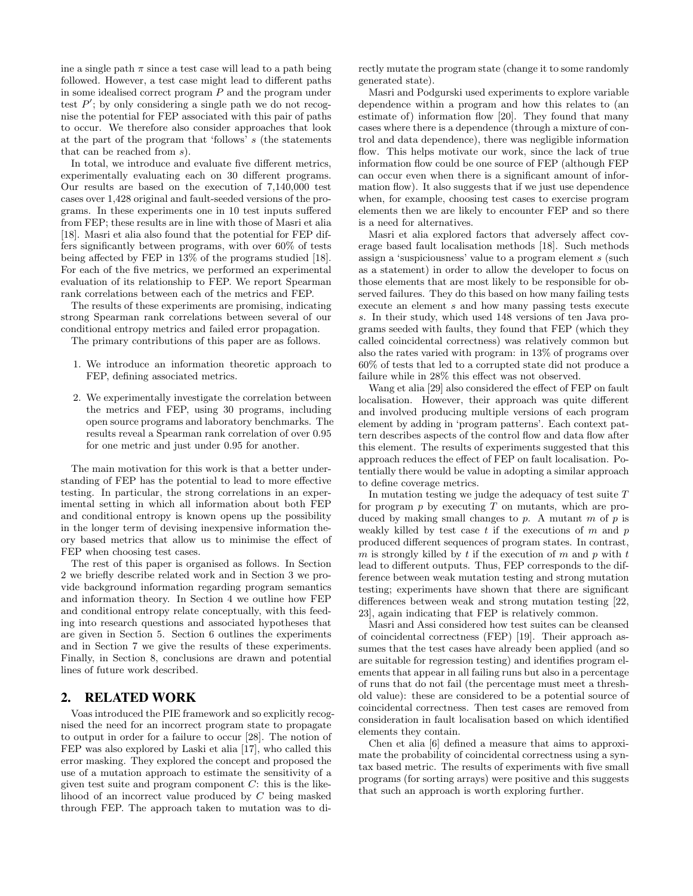ine a single path  $\pi$  since a test case will lead to a path being followed. However, a test case might lead to different paths in some idealised correct program  $P$  and the program under test  $P'$ ; by only considering a single path we do not recognise the potential for FEP associated with this pair of paths to occur. We therefore also consider approaches that look at the part of the program that 'follows' s (the statements that can be reached from s).

In total, we introduce and evaluate five different metrics, experimentally evaluating each on 30 different programs. Our results are based on the execution of 7,140,000 test cases over 1,428 original and fault-seeded versions of the programs. In these experiments one in 10 test inputs suffered from FEP; these results are in line with those of Masri et alia [18]. Masri et alia also found that the potential for FEP differs significantly between programs, with over 60% of tests being affected by FEP in 13% of the programs studied [18]. For each of the five metrics, we performed an experimental evaluation of its relationship to FEP. We report Spearman rank correlations between each of the metrics and FEP.

The results of these experiments are promising, indicating strong Spearman rank correlations between several of our conditional entropy metrics and failed error propagation.

The primary contributions of this paper are as follows.

- 1. We introduce an information theoretic approach to FEP, defining associated metrics.
- 2. We experimentally investigate the correlation between the metrics and FEP, using 30 programs, including open source programs and laboratory benchmarks. The results reveal a Spearman rank correlation of over 0.95 for one metric and just under 0.95 for another.

The main motivation for this work is that a better understanding of FEP has the potential to lead to more effective testing. In particular, the strong correlations in an experimental setting in which all information about both FEP and conditional entropy is known opens up the possibility in the longer term of devising inexpensive information theory based metrics that allow us to minimise the effect of FEP when choosing test cases.

The rest of this paper is organised as follows. In Section 2 we briefly describe related work and in Section 3 we provide background information regarding program semantics and information theory. In Section 4 we outline how FEP and conditional entropy relate conceptually, with this feeding into research questions and associated hypotheses that are given in Section 5. Section 6 outlines the experiments and in Section 7 we give the results of these experiments. Finally, in Section 8, conclusions are drawn and potential lines of future work described.

## 2. RELATED WORK

Voas introduced the PIE framework and so explicitly recognised the need for an incorrect program state to propagate to output in order for a failure to occur [28]. The notion of FEP was also explored by Laski et alia [17], who called this error masking. They explored the concept and proposed the use of a mutation approach to estimate the sensitivity of a given test suite and program component  $C$ : this is the likelihood of an incorrect value produced by C being masked through FEP. The approach taken to mutation was to directly mutate the program state (change it to some randomly generated state).

Masri and Podgurski used experiments to explore variable dependence within a program and how this relates to (an estimate of) information flow [20]. They found that many cases where there is a dependence (through a mixture of control and data dependence), there was negligible information flow. This helps motivate our work, since the lack of true information flow could be one source of FEP (although FEP can occur even when there is a significant amount of information flow). It also suggests that if we just use dependence when, for example, choosing test cases to exercise program elements then we are likely to encounter FEP and so there is a need for alternatives.

Masri et alia explored factors that adversely affect coverage based fault localisation methods [18]. Such methods assign a 'suspiciousness' value to a program element s (such as a statement) in order to allow the developer to focus on those elements that are most likely to be responsible for observed failures. They do this based on how many failing tests execute an element s and how many passing tests execute s. In their study, which used 148 versions of ten Java programs seeded with faults, they found that FEP (which they called coincidental correctness) was relatively common but also the rates varied with program: in 13% of programs over 60% of tests that led to a corrupted state did not produce a failure while in 28% this effect was not observed.

Wang et alia [29] also considered the effect of FEP on fault localisation. However, their approach was quite different and involved producing multiple versions of each program element by adding in 'program patterns'. Each context pattern describes aspects of the control flow and data flow after this element. The results of experiments suggested that this approach reduces the effect of FEP on fault localisation. Potentially there would be value in adopting a similar approach to define coverage metrics.

In mutation testing we judge the adequacy of test suite  $T$ for program  $p$  by executing  $T$  on mutants, which are produced by making small changes to p. A mutant m of p is weakly killed by test case  $t$  if the executions of  $m$  and  $p$ produced different sequences of program states. In contrast, m is strongly killed by  $t$  if the execution of  $m$  and  $p$  with  $t$ lead to different outputs. Thus, FEP corresponds to the difference between weak mutation testing and strong mutation testing; experiments have shown that there are significant differences between weak and strong mutation testing [22, 23], again indicating that FEP is relatively common.

Masri and Assi considered how test suites can be cleansed of coincidental correctness (FEP) [19]. Their approach assumes that the test cases have already been applied (and so are suitable for regression testing) and identifies program elements that appear in all failing runs but also in a percentage of runs that do not fail (the percentage must meet a threshold value): these are considered to be a potential source of coincidental correctness. Then test cases are removed from consideration in fault localisation based on which identified elements they contain.

Chen et alia [6] defined a measure that aims to approximate the probability of coincidental correctness using a syntax based metric. The results of experiments with five small programs (for sorting arrays) were positive and this suggests that such an approach is worth exploring further.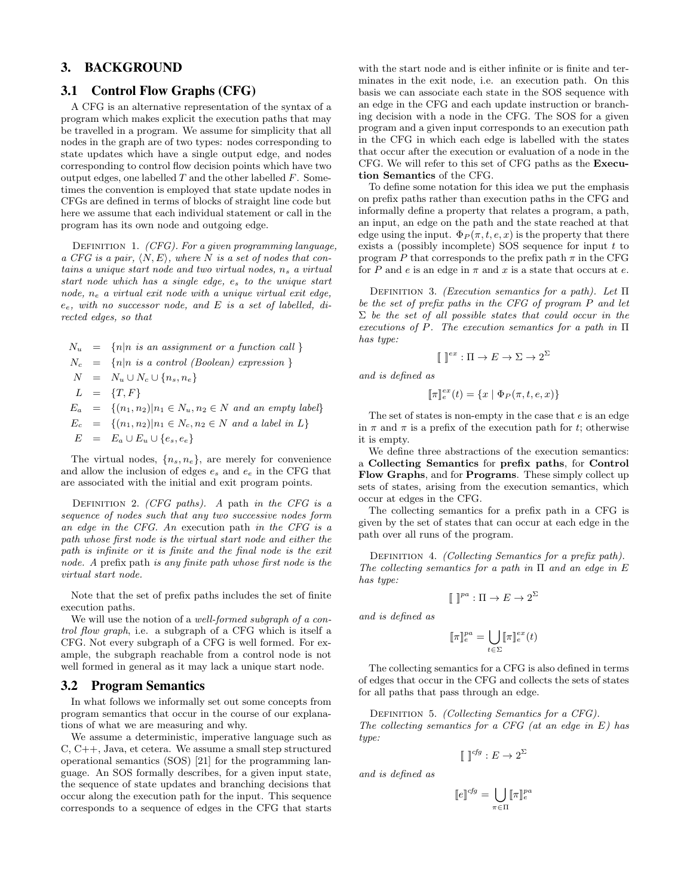## 3. BACKGROUND

# 3.1 Control Flow Graphs (CFG)

A CFG is an alternative representation of the syntax of a program which makes explicit the execution paths that may be travelled in a program. We assume for simplicity that all nodes in the graph are of two types: nodes corresponding to state updates which have a single output edge, and nodes corresponding to control flow decision points which have two output edges, one labelled  $T$  and the other labelled  $F$ . Sometimes the convention is employed that state update nodes in CFGs are defined in terms of blocks of straight line code but here we assume that each individual statement or call in the program has its own node and outgoing edge.

DEFINITION 1. (CFG). For a given programming language, a CFG is a pair,  $\langle N, E \rangle$ , where N is a set of nodes that contains a unique start node and two virtual nodes,  $n_s$  a virtual start node which has a single edge, e<sup>s</sup> to the unique start node,  $n_e$  a virtual exit node with a unique virtual exit edge,  $e_e$ , with no successor node, and E is a set of labelled, directed edges, so that

$$
N_u = \{n | n \text{ is an assignment or a function call } \}
$$
  
\n
$$
N_c = \{n | n \text{ is a control (Boolean) expression } \}
$$
  
\n
$$
N = N_u \cup N_c \cup \{n_s, n_e\}
$$
  
\n
$$
L = \{T, F\}
$$
  
\n
$$
E_a = \{(n_1, n_2) | n_1 \in N_u, n_2 \in N \text{ and an empty label } \}
$$
  
\n
$$
E_c = \{(n_1, n_2) | n_1 \in N_c, n_2 \in N \text{ and a label in } L \}
$$
  
\n
$$
E = E_a \cup E_u \cup \{e_s, e_e\}
$$

The virtual nodes,  $\{n_s, n_e\}$ , are merely for convenience and allow the inclusion of edges  $e_s$  and  $e_e$  in the CFG that are associated with the initial and exit program points.

DEFINITION 2. (CFG paths). A path in the CFG is a sequence of nodes such that any two successive nodes form an edge in the CFG. An execution path in the CFG is a path whose first node is the virtual start node and either the path is infinite or it is finite and the final node is the exit node. A prefix path is any finite path whose first node is the virtual start node.

Note that the set of prefix paths includes the set of finite execution paths.

We will use the notion of a *well-formed subgraph of a con*trol flow graph, i.e. a subgraph of a CFG which is itself a CFG. Not every subgraph of a CFG is well formed. For example, the subgraph reachable from a control node is not well formed in general as it may lack a unique start node.

#### 3.2 Program Semantics

In what follows we informally set out some concepts from program semantics that occur in the course of our explanations of what we are measuring and why.

We assume a deterministic, imperative language such as C, C++, Java, et cetera. We assume a small step structured operational semantics (SOS) [21] for the programming language. An SOS formally describes, for a given input state, the sequence of state updates and branching decisions that occur along the execution path for the input. This sequence corresponds to a sequence of edges in the CFG that starts

with the start node and is either infinite or is finite and terminates in the exit node, i.e. an execution path. On this basis we can associate each state in the SOS sequence with an edge in the CFG and each update instruction or branching decision with a node in the CFG. The SOS for a given program and a given input corresponds to an execution path in the CFG in which each edge is labelled with the states that occur after the execution or evaluation of a node in the CFG. We will refer to this set of CFG paths as the Execution Semantics of the CFG.

To define some notation for this idea we put the emphasis on prefix paths rather than execution paths in the CFG and informally define a property that relates a program, a path, an input, an edge on the path and the state reached at that edge using the input.  $\Phi_P(\pi, t, e, x)$  is the property that there exists a (possibly incomplete) SOS sequence for input  $t$  to program P that corresponds to the prefix path  $\pi$  in the CFG for P and e is an edge in  $\pi$  and x is a state that occurs at e.

DEFINITION 3. (Execution semantics for a path). Let  $\Pi$ be the set of prefix paths in the CFG of program P and let  $\Sigma$  be the set of all possible states that could occur in the executions of P. The execution semantics for a path in Π has type:

$$
\llbracket \; \rrbracket^{ex} : \Pi \to E \to \Sigma \to 2^{\Sigma}
$$

and is defined as

$$
[\![\pi]\!]_e^{ex}(t) = \{x \mid \Phi_P(\pi, t, e, x)\}
$$

The set of states is non-empty in the case that  $e$  is an edge in  $\pi$  and  $\pi$  is a prefix of the execution path for t; otherwise it is empty.

We define three abstractions of the execution semantics: a Collecting Semantics for prefix paths, for Control Flow Graphs, and for Programs. These simply collect up sets of states, arising from the execution semantics, which occur at edges in the CFG.

The collecting semantics for a prefix path in a CFG is given by the set of states that can occur at each edge in the path over all runs of the program.

DEFINITION 4. *(Collecting Semantics for a prefix path)*. The collecting semantics for a path in  $\Pi$  and an edge in  $E$ has type:

$$
\llbracket \; \rrbracket^{pa} : \Pi \to E \to 2^{\Sigma}
$$

and is defined as

$$
[\![\pi]\!]_e^{pa}=\bigcup_{t\in\Sigma}[\![\pi]\!]_e^{ex}(t)
$$

The collecting semantics for a CFG is also defined in terms of edges that occur in the CFG and collects the sets of states for all paths that pass through an edge.

DEFINITION 5. *(Collecting Semantics for a CFG)*. The collecting semantics for a CFG (at an edge in  $E$ ) has tupe:

$$
\llbracket \; \rrbracket^{cfg} : E \to 2^{\Sigma}
$$

and is defined as

$$
[\![e]\!]^{cfg} = \bigcup_{\pi \in \Pi} [\![\pi]\!]_e^{pa}
$$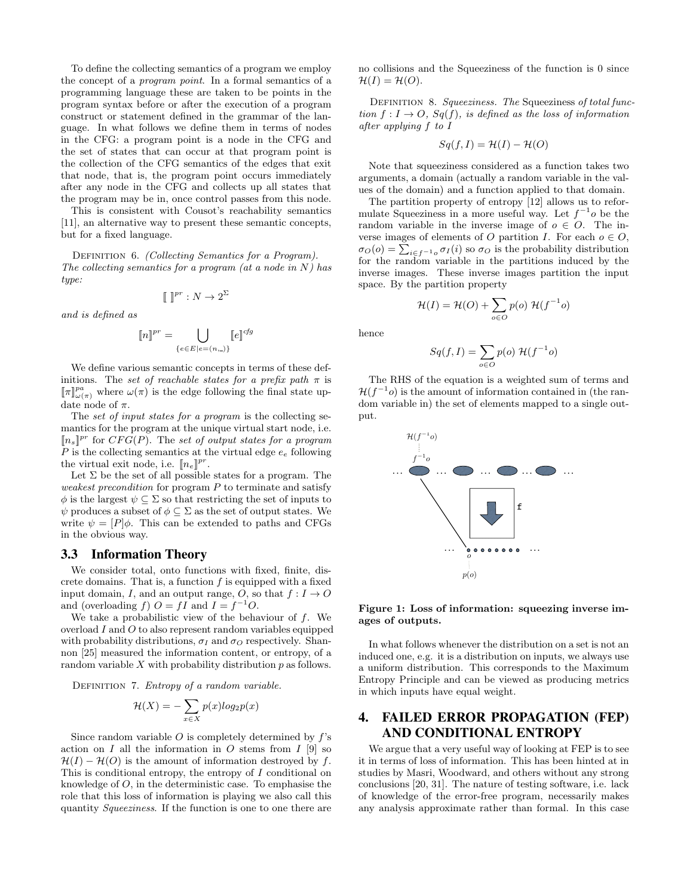To define the collecting semantics of a program we employ the concept of a program point. In a formal semantics of a programming language these are taken to be points in the program syntax before or after the execution of a program construct or statement defined in the grammar of the language. In what follows we define them in terms of nodes in the CFG: a program point is a node in the CFG and the set of states that can occur at that program point is the collection of the CFG semantics of the edges that exit that node, that is, the program point occurs immediately after any node in the CFG and collects up all states that the program may be in, once control passes from this node.

This is consistent with Cousot's reachability semantics [11], an alternative way to present these semantic concepts, but for a fixed language.

DEFINITION 6. (Collecting Semantics for a Program). The collecting semantics for a program (at a node in  $N$ ) has type:

$$
\llbracket \; \rrbracket^{pr} : N \to 2^{\Sigma}
$$

and is defined as

$$
[\![ n ]\!]^{pr} = \bigcup_{\{e \in E \mid e = (n, \_)\}} [\![ e ]\!]^{cfg}
$$

We define various semantic concepts in terms of these definitions. The set of reachable states for a prefix path  $\pi$  is  $[\![\pi]\!]_{\omega(\pi)}^{pa}$  where  $\omega(\pi)$  is the edge following the final state update node of  $\pi$ .

The set of input states for a program is the collecting semantics for the program at the unique virtual start node, i.e.  $[n_s]^{pr}$  for  $CFG(P)$ . The set of output states for a program  $P$  is the collecting semantics at the virtual edge  $e_e$  following the virtual exit node, i.e.  $[ n_e ]^{pr}$ .

Let  $\Sigma$  be the set of all possible states for a program. The weakest precondition for program  $P$  to terminate and satisfy  $\phi$  is the largest  $\psi \subset \Sigma$  so that restricting the set of inputs to  $\psi$  produces a subset of  $\phi \subseteq \Sigma$  as the set of output states. We write  $\psi = [P]\phi$ . This can be extended to paths and CFGs in the obvious way.

## 3.3 Information Theory

We consider total, onto functions with fixed, finite, discrete domains. That is, a function  $f$  is equipped with a fixed input domain, I, and an output range, O, so that  $f: I \to O$ and (overloading f)  $O = fI$  and  $I = f^{-1}O$ .

We take a probabilistic view of the behaviour of  $f$ . We overload I and O to also represent random variables equipped with probability distributions,  $\sigma_I$  and  $\sigma_O$  respectively. Shannon [25] measured the information content, or entropy, of a random variable  $X$  with probability distribution  $p$  as follows.

DEFINITION 7. Entropy of a random variable.

$$
\mathcal{H}(X) = -\sum_{x \in X} p(x) \log_2 p(x)
$$

Since random variable  $O$  is completely determined by  $f$ 's action on I all the information in O stems from I [9] so  $\mathcal{H}(I) - \mathcal{H}(O)$  is the amount of information destroyed by f. This is conditional entropy, the entropy of  $I$  conditional on knowledge of O, in the deterministic case. To emphasise the role that this loss of information is playing we also call this quantity Squeeziness. If the function is one to one there are

no collisions and the Squeeziness of the function is 0 since  $\mathcal{H}(I) = \mathcal{H}(O).$ 

DEFINITION 8. Squeeziness. The Squeeziness of total function  $f: I \to O$ ,  $Sq(f)$ , is defined as the loss of information after applying f to I

$$
Sq(f, I) = \mathcal{H}(I) - \mathcal{H}(O)
$$

Note that squeeziness considered as a function takes two arguments, a domain (actually a random variable in the values of the domain) and a function applied to that domain.

The partition property of entropy [12] allows us to reformulate Squeeziness in a more useful way. Let  $f^{-1}$ o be the random variable in the inverse image of  $o \in O$ . The inverse images of elements of O partition I. For each  $o \in O$ ,  $\sigma_O(o) = \sum_{i \in f^{-1}o} \sigma_I(i)$  so  $\sigma_O$  is the probability distribution for the random variable in the partitions induced by the inverse images. These inverse images partition the input space. By the partition property

$$
\mathcal{H}(I) = \mathcal{H}(O) + \sum_{o \in O} p(o) \; \mathcal{H}(f^{-1}o)
$$

hence

$$
Sq(f, I) = \sum_{o \in O} p(o) \mathcal{H}(f^{-1}o)
$$

The RHS of the equation is a weighted sum of terms and  $\mathcal{H}(f^{-1}o)$  is the amount of information contained in (the random variable in) the set of elements mapped to a single output.



Figure 1: Loss of information: squeezing inverse images of outputs.

In what follows whenever the distribution on a set is not an induced one, e.g. it is a distribution on inputs, we always use a uniform distribution. This corresponds to the Maximum Entropy Principle and can be viewed as producing metrics in which inputs have equal weight.

# 4. FAILED ERROR PROPAGATION (FEP) AND CONDITIONAL ENTROPY

We argue that a very useful way of looking at FEP is to see it in terms of loss of information. This has been hinted at in studies by Masri, Woodward, and others without any strong conclusions [20, 31]. The nature of testing software, i.e. lack of knowledge of the error-free program, necessarily makes any analysis approximate rather than formal. In this case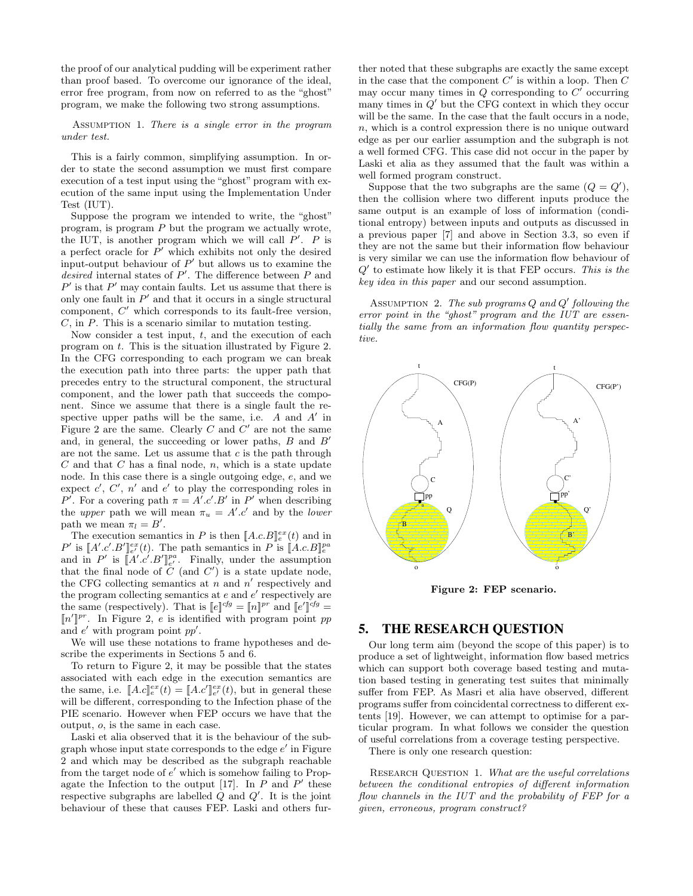the proof of our analytical pudding will be experiment rather than proof based. To overcome our ignorance of the ideal, error free program, from now on referred to as the "ghost" program, we make the following two strong assumptions.

Assumption 1. There is a single error in the program under test.

This is a fairly common, simplifying assumption. In order to state the second assumption we must first compare execution of a test input using the "ghost" program with execution of the same input using the Implementation Under Test (IUT).

Suppose the program we intended to write, the "ghost" program, is program P but the program we actually wrote, the IUT, is another program which we will call  $P'$ .  $P$  is a perfect oracle for  $P'$  which exhibits not only the desired input-output behaviour of  $P'$  but allows us to examine the desired internal states of  $P'$ . The difference between  $P$  and  $P'$  is that  $P'$  may contain faults. Let us assume that there is only one fault in  $P'$  and that it occurs in a single structural component,  $C'$  which corresponds to its fault-free version,  $C$ , in  $P$ . This is a scenario similar to mutation testing.

Now consider a test input,  $t$ , and the execution of each program on t. This is the situation illustrated by Figure 2. In the CFG corresponding to each program we can break the execution path into three parts: the upper path that precedes entry to the structural component, the structural component, and the lower path that succeeds the component. Since we assume that there is a single fault the respective upper paths will be the same, i.e.  $A$  and  $A'$  in Figure 2 are the same. Clearly  $C$  and  $C'$  are not the same and, in general, the succeeding or lower paths,  $B$  and  $B'$ are not the same. Let us assume that  $c$  is the path through  $C$  and that  $C$  has a final node,  $n$ , which is a state update node. In this case there is a single outgoing edge, e, and we expect  $c'$ ,  $C'$ ,  $n'$  and  $e'$  to play the corresponding roles in P'. For a covering path  $\pi = A'.c'.B'$  in P' when describing the upper path we will mean  $\pi_u = A'.c'$  and by the lower path we mean  $\pi_l = B'$ .

The execution semantics in P is then  $\llbracket A.c.B \rrbracket_e^{ex}(t)$  and in P' is  $\llbracket A'.c'.B'\rrbracket_{e'}^{ex}(t)$ . The path semantics in P is  $\llbracket A.c.B \rrbracket_{e}^{pa}$ and in P' is  $\llbracket A'.c'.B'\rrbracket_{e'}^{pa}$ . Finally, under the assumption that the final node of  $\overline{C}$  (and  $C'$ ) is a state update node, the CFG collecting semantics at  $n$  and  $n'$  respectively and the program collecting semantics at  $e$  and  $e'$  respectively are the same (respectively). That is  $\llbracket e \rrbracket^{cfg} = \llbracket n \rrbracket^{pr}$  and  $\llbracket e' \rrbracket^{cfg} =$  $\llbracket n'\rrbracket^{pr}$ . In Figure 2, e is identified with program point pp and  $e'$  with program point  $pp'$ .

We will use these notations to frame hypotheses and describe the experiments in Sections 5 and 6.

To return to Figure 2, it may be possible that the states associated with each edge in the execution semantics are the same, i.e.  $[A.c]]_e^{ex}(t) = [A.c']_{e'}^{ex}(t)$ , but in general these will be different, corresponding to the Infection phase of the PIE scenario. However when FEP occurs we have that the output, o, is the same in each case.

Laski et alia observed that it is the behaviour of the subgraph whose input state corresponds to the edge  $e'$  in Figure 2 and which may be described as the subgraph reachable from the target node of  $e'$  which is somehow failing to Propagate the Infection to the output [17]. In  $P$  and  $P'$  these respective subgraphs are labelled  $Q$  and  $Q'$ . It is the joint behaviour of these that causes FEP. Laski and others further noted that these subgraphs are exactly the same except in the case that the component  $C'$  is within a loop. Then  $C$ may occur many times in  $Q$  corresponding to  $C<sup>7</sup>$  occurring many times in  $Q'$  but the CFG context in which they occur will be the same. In the case that the fault occurs in a node, n, which is a control expression there is no unique outward edge as per our earlier assumption and the subgraph is not a well formed CFG. This case did not occur in the paper by Laski et alia as they assumed that the fault was within a well formed program construct.

Suppose that the two subgraphs are the same  $(Q = Q')$ , then the collision where two different inputs produce the same output is an example of loss of information (conditional entropy) between inputs and outputs as discussed in a previous paper [7] and above in Section 3.3, so even if they are not the same but their information flow behaviour is very similar we can use the information flow behaviour of  $Q'$  to estimate how likely it is that FEP occurs. This is the key idea in this paper and our second assumption.

ASSUMPTION 2. The sub programs  $Q$  and  $Q'$  following the error point in the "ghost" program and the IUT are essentially the same from an information flow quantity perspective.



Figure 2: FEP scenario.

## 5. THE RESEARCH QUESTION

Our long term aim (beyond the scope of this paper) is to produce a set of lightweight, information flow based metrics which can support both coverage based testing and mutation based testing in generating test suites that minimally suffer from FEP. As Masri et alia have observed, different programs suffer from coincidental correctness to different extents [19]. However, we can attempt to optimise for a particular program. In what follows we consider the question of useful correlations from a coverage testing perspective.

There is only one research question:

RESEARCH QUESTION 1. What are the useful correlations between the conditional entropies of different information flow channels in the IUT and the probability of FEP for a given, erroneous, program construct?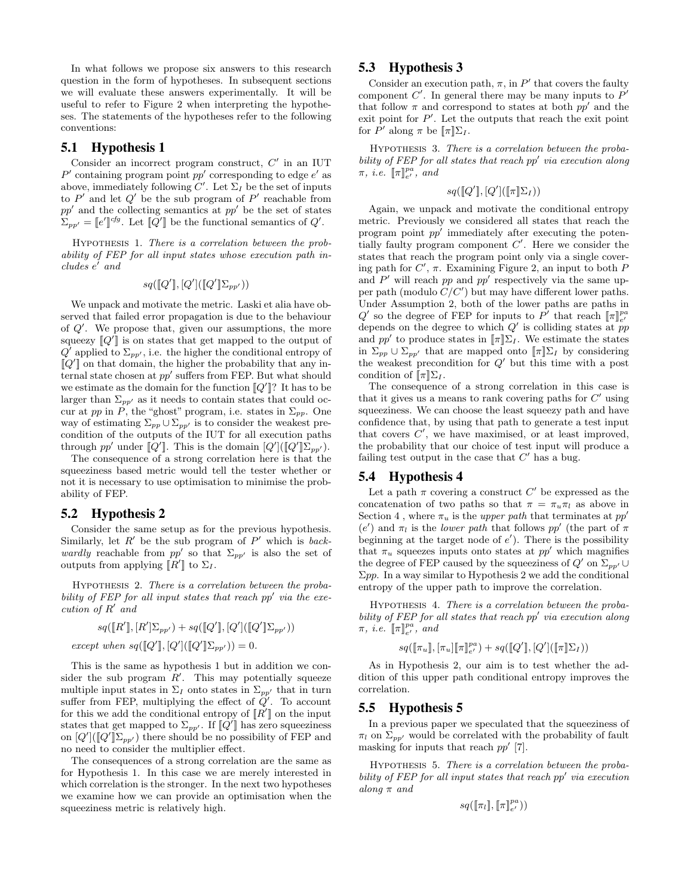In what follows we propose six answers to this research question in the form of hypotheses. In subsequent sections we will evaluate these answers experimentally. It will be useful to refer to Figure 2 when interpreting the hypotheses. The statements of the hypotheses refer to the following conventions:

## 5.1 Hypothesis 1

Consider an incorrect program construct,  $C'$  in an IUT  $P'$  containing program point  $pp'$  corresponding to edge  $e'$  as above, immediately following  $C'$ . Let  $\Sigma_I$  be the set of inputs to  $P'$  and let  $Q'$  be the sub program of  $P'$  reachable from  $pp'$  and the collecting semantics at  $pp'$  be the set of states  $\Sigma_{pp'} = [e']^{cg}$ . Let  $[Q']$  be the functional semantics of  $Q'$ .

Hypothesis 1. There is a correlation between the probability of FEP for all input states whose execution path in $cludes e'$  and

$$
sq([\![Q']\!],[Q']([\![Q']\!] \Sigma_{pp'}))
$$

We unpack and motivate the metric. Laski et alia have observed that failed error propagation is due to the behaviour of  $Q'$ . We propose that, given our assumptions, the more squeezy  $\llbracket Q' \rrbracket$  is on states that get mapped to the output of  $Q'$  applied to  $\Sigma_{pp'}$ , i.e. the higher the conditional entropy of  $\llbracket Q' \rrbracket$  on that domain, the higher the probability that any internal state chosen at  $pp'$  suffers from FEP. But what should we estimate as the domain for the function  $\llbracket Q' \rrbracket$ ? It has to be larger than  $\Sigma_{pp'}$  as it needs to contain states that could occur at pp in P, the "ghost" program, i.e. states in  $\Sigma_{pp}$ . One way of estimating  $\Sigma_{pp} \cup \Sigma_{pp'}$  is to consider the weakest precondition of the outputs of the IUT for all execution paths through  $pp'$  under [Q']. This is the domain  $[Q']([\![Q']]\!]_{2pp'})$ .

The consequence of a strong correlation here is that the squeeziness based metric would tell the tester whether or not it is necessary to use optimisation to minimise the probability of FEP.

## 5.2 Hypothesis 2

Consider the same setup as for the previous hypothesis. Similarly, let  $R'$  be the sub program of  $P'$  which is back*wardly* reachable from  $pp'$  so that  $\Sigma_{pp'}$  is also the set of outputs from applying  $\llbracket R' \rrbracket$  to  $\Sigma_I$ .

Hypothesis 2. There is a correlation between the probability of FEP for all input states that reach  $pp'$  via the exe $cution$  of  $R'$  and

$$
sq([\![R']\!],[R']\Sigma_{pp'})+sq([\![Q']\!],[Q'](\llbracket Q'\rrbracket \Sigma_{pp'}))
$$

except when  $sq([Q'], [Q']([Q']\Sigma_{pp'})) = 0.$ 

This is the same as hypothesis 1 but in addition we consider the sub program  $R'$ . This may potentially squeeze multiple input states in  $\Sigma_I$  onto states in  $\Sigma_{pp'}$  that in turn suffer from FEP, multiplying the effect of  $\ddot{Q}$ . To account for this we add the conditional entropy of  $\llbracket R' \rrbracket$  on the input states that get mapped to  $\Sigma_{pp'}$ . If  $\llbracket Q' \rrbracket$  has zero squeeziness on  $[Q']([\![Q']\!]_{\Sigma_{pp'}})$  there should be no possibility of FEP and no need to consider the multiplier effect.

The consequences of a strong correlation are the same as for Hypothesis 1. In this case we are merely interested in which correlation is the stronger. In the next two hypotheses we examine how we can provide an optimisation when the squeeziness metric is relatively high.

## 5.3 Hypothesis 3

Consider an execution path,  $\pi$ , in  $P'$  that covers the faulty component  $C'$ . In general there may be many inputs to  $P'$ that follow  $\pi$  and correspond to states at both  $pp'$  and the exit point for  $P'$ . Let the outputs that reach the exit point for  $P'$  along  $\pi$  be  $[\![\pi]\!] \Sigma_I$ .

Hypothesis 3. There is a correlation between the probability of FEP for all states that reach  $pp'$  via execution along  $\pi$ , *i.e.*  $[\![\pi]\!]_{e'}^{pa}$ , and

$$
sq(\llbracket Q' \rrbracket, \llbracket Q' \rrbracket(\llbracket \pi \rrbracket \Sigma_I))
$$

Again, we unpack and motivate the conditional entropy metric. Previously we considered all states that reach the program point  $pp'$  immediately after executing the potentially faulty program component  $C'$ . Here we consider the states that reach the program point only via a single covering path for  $C'$ ,  $\pi$ . Examining Figure 2, an input to both P and  $P'$  will reach pp and pp' respectively via the same upper path (modulo  $C/C'$ ) but may have different lower paths. Under Assumption 2, both of the lower paths are paths in  $Q'$  so the degree of FEP for inputs to  $P'$  that reach  $[\![\pi]\!]_{e'}^{pa}$ depends on the degree to which  $Q'$  is colliding states at  $\overline{p}p$ and pp' to produce states in  $[\![\pi]\!] \Sigma_I$ . We estimate the states in  $\Sigma_{pp} \cup \Sigma_{pp'}$  that are mapped onto  $[\![\pi]\!] \Sigma_I$  by considering the weakest precondition for  $Q'$  but this time with a post condition of  $[\![\pi]\!] \Sigma_I$ .

The consequence of a strong correlation in this case is that it gives us a means to rank covering paths for  $C'$  using squeeziness. We can choose the least squeezy path and have confidence that, by using that path to generate a test input that covers  $C'$ , we have maximised, or at least improved, the probability that our choice of test input will produce a failing test output in the case that  $C'$  has a bug.

## 5.4 Hypothesis 4

Let a path  $\pi$  covering a construct  $C'$  be expressed as the concatenation of two paths so that  $\pi = \pi_u \pi_l$  as above in Section 4, where  $\pi_u$  is the upper path that terminates at pp<sup>'</sup> (e') and  $\pi_l$  is the lower path that follows pp' (the part of  $\pi$ beginning at the target node of  $e'$ ). There is the possibility that  $\pi_u$  squeezes inputs onto states at pp' which magnifies the degree of FEP caused by the squeeziness of  $Q'$  on  $\Sigma_{pp'}$   $\cup$  $\Sigma pp$ . In a way similar to Hypothesis 2 we add the conditional entropy of the upper path to improve the correlation.

Hypothesis 4. There is a correlation between the probability of FEP for all states that reach  $pp'$  via execution along  $\pi$ , *i.e.*  $[\![\pi]\!]_{e'}^{pa}$ , and

$$
\mathit{sq}(\llbracket \pi_u \rrbracket, \llbracket \pi_u \rrbracket \llbracket \pi \rrbracket^{pa}_{e'}) + \mathit{sq}(\llbracket Q' \rrbracket, \llbracket Q' \rrbracket(\llbracket \pi \rrbracket \Sigma_I))
$$

As in Hypothesis 2, our aim is to test whether the addition of this upper path conditional entropy improves the correlation.

## 5.5 Hypothesis 5

In a previous paper we speculated that the squeeziness of  $\pi_l$  on  $\Sigma_{pp'}$  would be correlated with the probability of fault masking for inputs that reach  $pp'$  [7].

Hypothesis 5. There is a correlation between the probability of FEP for all input states that reach  $pp'$  via execution along  $\pi$  and

$$
sq([\![\pi_l]\!],[\![\pi]\!]_{e'}^{pa}))
$$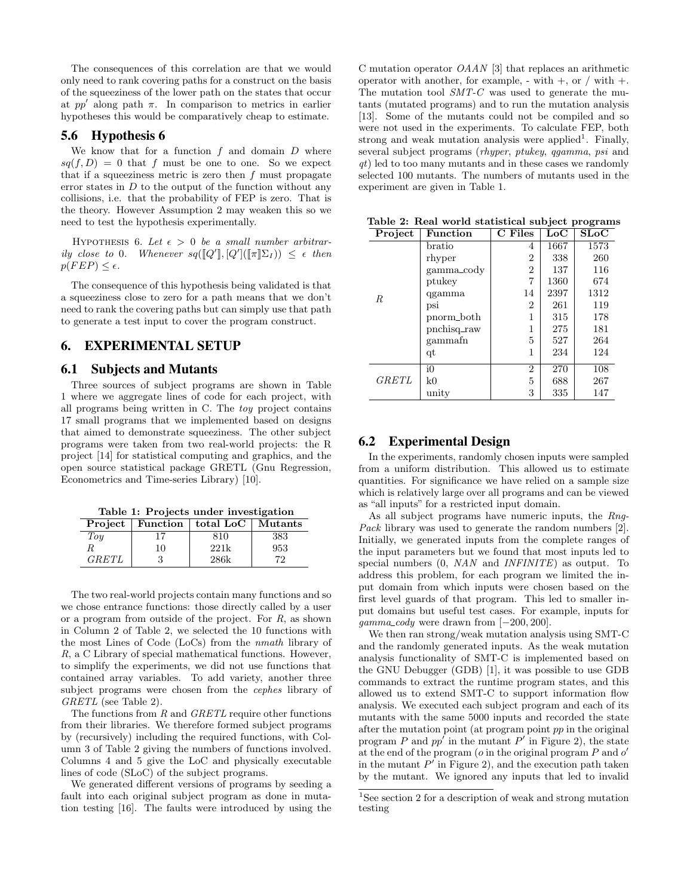The consequences of this correlation are that we would only need to rank covering paths for a construct on the basis of the squeeziness of the lower path on the states that occur at pp' along path  $\pi$ . In comparison to metrics in earlier hypotheses this would be comparatively cheap to estimate.

## 5.6 Hypothesis 6

We know that for a function  $f$  and domain  $D$  where  $sq(f, D) = 0$  that f must be one to one. So we expect that if a squeeziness metric is zero then  $f$  must propagate error states in  $D$  to the output of the function without any collisions, i.e. that the probability of FEP is zero. That is the theory. However Assumption 2 may weaken this so we need to test the hypothesis experimentally.

HYPOTHESIS 6. Let  $\epsilon > 0$  be a small number arbitrarily close to 0. Whenever  $sq([Q'], [Q']([\![\pi]\!] \Sigma_I)) \leq \epsilon$  then  $p(FEP) \leq \epsilon$ .

The consequence of this hypothesis being validated is that a squeeziness close to zero for a path means that we don't need to rank the covering paths but can simply use that path to generate a test input to cover the program construct.

## 6. EXPERIMENTAL SETUP

## 6.1 Subjects and Mutants

Three sources of subject programs are shown in Table 1 where we aggregate lines of code for each project, with all programs being written in C. The toy project contains 17 small programs that we implemented based on designs that aimed to demonstrate squeeziness. The other subject programs were taken from two real-world projects: the R project [14] for statistical computing and graphics, and the open source statistical package GRETL (Gnu Regression, Econometrics and Time-series Library) [10].

Table 1: Projects under investigation

|              |    | Project   Function   total LoC   Mutants |     |
|--------------|----|------------------------------------------|-----|
| Tou          |    | 810                                      | 383 |
|              | 10 | 221k                                     | 953 |
| <b>GRETL</b> |    | 286k                                     |     |

The two real-world projects contain many functions and so we chose entrance functions: those directly called by a user or a program from outside of the project. For R, as shown in Column 2 of Table 2, we selected the 10 functions with the most Lines of Code (LoCs) from the nmath library of R, a C Library of special mathematical functions. However, to simplify the experiments, we did not use functions that contained array variables. To add variety, another three subject programs were chosen from the cephes library of GRETL (see Table 2).

The functions from  $R$  and  $GRETL$  require other functions from their libraries. We therefore formed subject programs by (recursively) including the required functions, with Column 3 of Table 2 giving the numbers of functions involved. Columns 4 and 5 give the LoC and physically executable lines of code (SLoC) of the subject programs.

We generated different versions of programs by seeding a fault into each original subject program as done in mutation testing [16]. The faults were introduced by using the C mutation operator OAAN [3] that replaces an arithmetic operator with another, for example, - with  $+$ , or / with  $+$ . The mutation tool SMT-C was used to generate the mutants (mutated programs) and to run the mutation analysis [13]. Some of the mutants could not be compiled and so were not used in the experiments. To calculate FEP, both strong and weak mutation analysis were applied<sup>1</sup>. Finally, several subject programs (rhyper, ptukey, qgamma, psi and  $qt$ ) led to too many mutants and in these cases we randomly selected 100 mutants. The numbers of mutants used in the experiment are given in Table 1.

| Project      | Function       | C Files        | $_{\rm LoC}$ | SLoC |
|--------------|----------------|----------------|--------------|------|
|              | bratio         | 4              | 1667         | 1573 |
|              | rhyper         | $\overline{2}$ | 338          | 260  |
|              | gamma_cody     | $\overline{2}$ | 137          | 116  |
|              | ptukey         | 7              | 1360         | 674  |
| R            | qgamma         | 14             | 2397         | 1312 |
|              | psi            | $\overline{2}$ | 261          | 119  |
|              | pnorm_both     | 1              | 315          | 178  |
|              | pnchisq_raw    | 1              | 275          | 181  |
|              | gammafn        | 5              | 527          | 264  |
|              | qt             | 1              | 234          | 124  |
|              | i0             | $\overline{2}$ | 270          | 108  |
| <b>GRETL</b> | k0             | 5              | 688          | 267  |
|              | $_{\rm unity}$ | 3              | 335          | 147  |

Table 2: Real world statistical subject programs

# 6.2 Experimental Design

In the experiments, randomly chosen inputs were sampled from a uniform distribution. This allowed us to estimate quantities. For significance we have relied on a sample size which is relatively large over all programs and can be viewed as "all inputs" for a restricted input domain.

As all subject programs have numeric inputs, the Rng-Pack library was used to generate the random numbers [2]. Initially, we generated inputs from the complete ranges of the input parameters but we found that most inputs led to special numbers (0, NAN and INFINITE) as output. To address this problem, for each program we limited the input domain from which inputs were chosen based on the first level guards of that program. This led to smaller input domains but useful test cases. For example, inputs for  $gamma\_cody$  were drawn from  $[-200, 200]$ .

We then ran strong/weak mutation analysis using SMT-C and the randomly generated inputs. As the weak mutation analysis functionality of SMT-C is implemented based on the GNU Debugger (GDB) [1], it was possible to use GDB commands to extract the runtime program states, and this allowed us to extend SMT-C to support information flow analysis. We executed each subject program and each of its mutants with the same 5000 inputs and recorded the state after the mutation point (at program point  $pp$  in the original program P and  $pp'$  in the mutant P' in Figure 2), the state at the end of the program ( $o$  in the original program  $P$  and  $o'$ in the mutant  $P'$  in Figure 2), and the execution path taken by the mutant. We ignored any inputs that led to invalid

<sup>&</sup>lt;sup>1</sup>See section 2 for a description of weak and strong mutation testing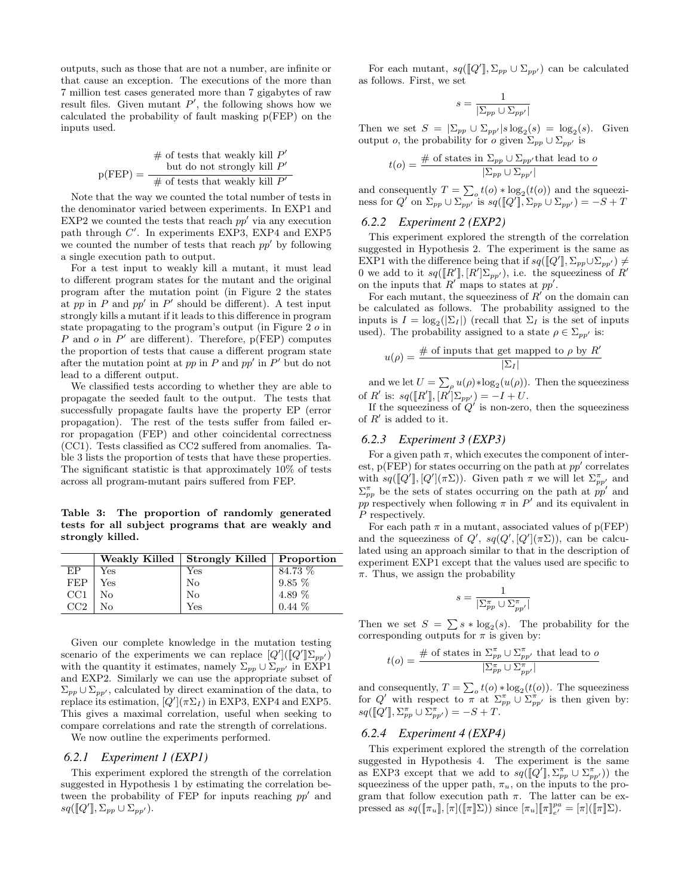outputs, such as those that are not a number, are infinite or that cause an exception. The executions of the more than 7 million test cases generated more than 7 gigabytes of raw result files. Given mutant  $P'$ , the following shows how we calculated the probability of fault masking p(FEP) on the inputs used.

$$
\frac{\text{# of tests that weakly kill } P'}{\text{pt (FEP)}} = \frac{\text{but do not strongly kill } P'}{\text{# of tests that weakly kill } P'}
$$

Note that the way we counted the total number of tests in the denominator varied between experiments. In EXP1 and EXP2 we counted the tests that reach  $pp'$  via any execution path through  $C'$ . In experiments EXP3, EXP4 and EXP5 we counted the number of tests that reach  $pp'$  by following a single execution path to output.

For a test input to weakly kill a mutant, it must lead to different program states for the mutant and the original program after the mutation point (in Figure 2 the states at pp in P and pp' in  $P'$  should be different). A test input strongly kills a mutant if it leads to this difference in program state propagating to the program's output (in Figure 2 o in P and  $o$  in  $P'$  are different). Therefore,  $p(FEP)$  computes the proportion of tests that cause a different program state after the mutation point at pp in P and pp' in  $P'$  but do not lead to a different output.

We classified tests according to whether they are able to propagate the seeded fault to the output. The tests that successfully propagate faults have the property EP (error propagation). The rest of the tests suffer from failed error propagation (FEP) and other coincidental correctness (CC1). Tests classified as CC2 suffered from anomalies. Table 3 lists the proportion of tests that have these properties. The significant statistic is that approximately 10% of tests across all program-mutant pairs suffered from FEP.

Table 3: The proportion of randomly generated tests for all subject programs that are weakly and strongly killed.

|                  |     | Weakly Killed   Strongly Killed   Proportion |                                                                                     |
|------------------|-----|----------------------------------------------|-------------------------------------------------------------------------------------|
| EP               | Yes | $_{\rm Yes}$                                 |                                                                                     |
| <b>FEP</b>       | Yes | No                                           |                                                                                     |
| CC1              | No  | No                                           |                                                                                     |
| $\overline{CC2}$ | No  | $_{\rm Yes}$                                 | $\begin{array}{c} \hline 84.73\ \% \\ 9.85\ \% \\ 4.89\ \% \\ 0.44\ \% \end{array}$ |

Given our complete knowledge in the mutation testing scenario of the experiments we can replace  $[Q']([\![Q']\!] \Sigma_{pp'})$ with the quantity it estimates, namely  $\Sigma_{pp} \cup \Sigma_{pp'}$  in EXP1 and EXP2. Similarly we can use the appropriate subset of  $\Sigma_{pp} \cup \Sigma_{pp'}$ , calculated by direct examination of the data, to replace its estimation,  $[Q'](\pi \Sigma_I)$  in EXP3, EXP4 and EXP5. This gives a maximal correlation, useful when seeking to compare correlations and rate the strength of correlations.

We now outline the experiments performed.

## *6.2.1 Experiment 1 (EXP1)*

This experiment explored the strength of the correlation suggested in Hypothesis 1 by estimating the correlation between the probability of FEP for inputs reaching  $pp'$  and  $sq([\![Q']\!], \Sigma_{pp} \cup \Sigma_{pp'}).$ 

For each mutant,  $sq([Q']_1, \Sigma_{pp} \cup \Sigma_{pp'})$  can be calculated as follows. First, we set

$$
s = \frac{1}{|\Sigma_{pp} \cup \Sigma_{pp'}|}
$$

Then we set  $S = |\Sigma_{pp} \cup \Sigma_{pp'}| s \log_2(s) = \log_2(s)$ . Given output *o*, the probability for *o* given  $\Sigma_{pp} \cup \Sigma_{pp'}$  is

$$
t(o) = \frac{\# \text{ of states in } \Sigma_{pp} \cup \Sigma_{pp'} \text{that lead to } o}{\left| \Sigma_{pp} \cup \Sigma_{pp'} \right|}
$$

and consequently  $T = \sum_{o} t(o) * \log_2(t(o))$  and the squeeziness for  $Q'$  on  $\Sigma_{pp} \cup \Sigma_{pp'}$  is  $sq([\![Q']\!], \Sigma_{pp} \cup \Sigma_{pp'}) = -S + T$ 

#### *6.2.2 Experiment 2 (EXP2)*

This experiment explored the strength of the correlation suggested in Hypothesis 2. The experiment is the same as EXP1 with the difference being that if  $sq([\![Q']\!], \Sigma_{pp} \cup \Sigma_{pp'}) \neq 0$ 0 we add to it  $sq([R'], [R']\Sigma_{pp'}),$  i.e. the squeeziness of  $R'$ on the inputs that  $R'$  maps to states at  $pp'$ .

For each mutant, the squeeziness of  $R'$  on the domain can be calculated as follows. The probability assigned to the inputs is  $I = \log_2(|\Sigma_I|)$  (recall that  $\Sigma_I$  is the set of inputs used). The probability assigned to a state  $\rho \in \Sigma_{pp'}$  is:

$$
u(\rho) = \frac{\text{\# of inputs that get mapped to } \rho \text{ by } R'}{|\Sigma_I|}
$$

and we let  $U = \sum_{\rho} u(\rho) * \log_2(u(\rho))$ . Then the squeeziness of R' is:  $sq([R''], [R']\Sigma_{pp'}) = -I + U$ .

If the squeeziness of  $Q'$  is non-zero, then the squeeziness of  $R'$  is added to it.

#### *6.2.3 Experiment 3 (EXP3)*

For a given path  $\pi$ , which executes the component of interest,  $p(FEP)$  for states occurring on the path at  $pp'$  correlates with  $sq([\![Q']\!], [\![Q']\!](\pi \Sigma)).$  Given path  $\pi$  we will let  $\Sigma_{pp'}^{\pi}$  and  $\Sigma_{pp}^{\pi}$  be the sets of states occurring on the path at  $pp'$  and pp respectively when following  $\pi$  in P' and its equivalent in P respectively.

For each path  $\pi$  in a mutant, associated values of p(FEP) and the squeeziness of  $Q'$ ,  $sq(Q', [Q'](\pi \Sigma))$ , can be calculated using an approach similar to that in the description of experiment EXP1 except that the values used are specific to  $\pi$ . Thus, we assign the probability

$$
s = \frac{1}{|\Sigma_{pp}^\pi \cup \Sigma_{pp'}^\pi|}
$$

Then we set  $S = \sum s * \log_2(s)$ . The probability for the corresponding outputs for  $\pi$  is given by:

$$
t(o) = \frac{\# \text{ of states in } \Sigma_{pp}^{\pi} \cup \Sigma_{pp'}^{\pi} \text{ that lead to } o}{|\Sigma_{pp}^{\pi} \cup \Sigma_{pp'}^{\pi}|}
$$

and consequently,  $T = \sum_{o} t(o) * \log_2(t(o))$ . The squeeziness for Q' with respect to  $\pi$  at  $\Sigma_{pp}^{\pi} \cup \Sigma_{pp'}^{\pi}$  is then given by:  $sq([\![Q']\!], \Sigma_{pp}^{\pi} \cup \Sigma_{pp'}^{\pi}) = -S + T.$ 

#### *6.2.4 Experiment 4 (EXP4)*

This experiment explored the strength of the correlation suggested in Hypothesis 4. The experiment is the same as EXP3 except that we add to  $sq([Q']_1, \Sigma_{pp}^{\pi} \cup \Sigma_{pp'}^{\pi})$  the squeeziness of the upper path,  $\pi_u$ , on the inputs to the program that follow execution path  $\pi$ . The latter can be expressed as  $sq([\![\pi_u]\!],[\pi]([\![\pi]\!])\bar{\Sigma})$  since  $[\pi_u][\![\pi]\!]_{e'}^{pa} = [\pi]([\![\pi]\!])\bar{\Sigma}).$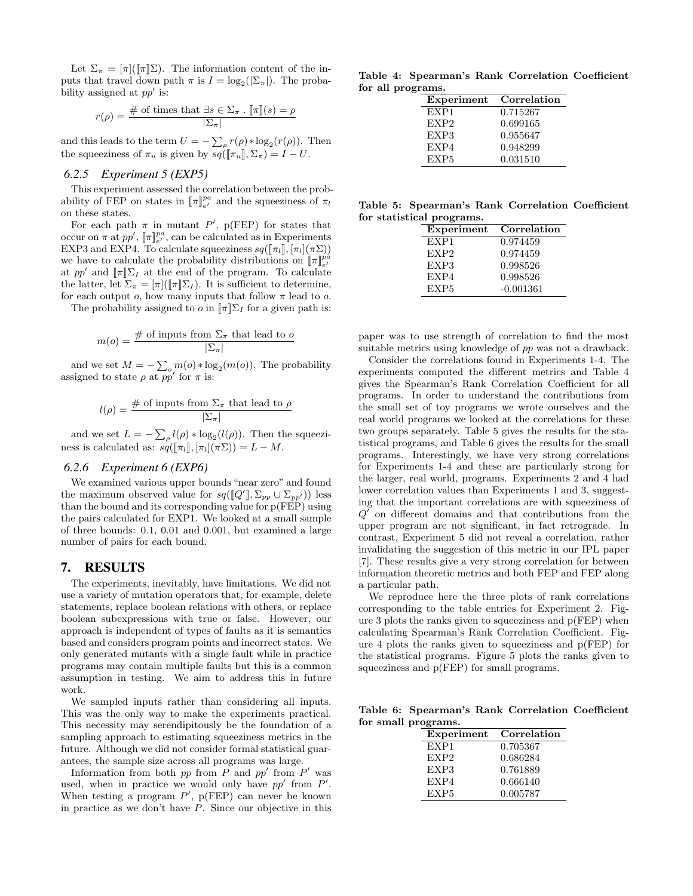Let  $\Sigma_{\pi} = [\pi]([\pi] \Sigma)$ . The information content of the inputs that travel down path  $\pi$  is  $I = \log_2(|\Sigma_{\pi}|)$ . The probability assigned at  $pp'$  is:

$$
r(\rho) = \frac{\# \text{ of times that } \exists s \in \Sigma_{\pi} \cdot [\![\pi]\!](s) = \rho}{|\Sigma_{\pi}|}
$$

and this leads to the term  $U = -\sum_{\rho} r(\rho) * \log_2(r(\rho))$ . Then the squeeziness of  $\pi_u$  is given by  $sq([\pi_u], \Sigma_\pi) = I - U$ .

## *6.2.5 Experiment 5 (EXP5)*

This experiment assessed the correlation between the probability of FEP on states in  $[\![\pi]\!]_{e'}^{pa}$  and the squeeziness of  $\pi_l$ on these states.

For each path  $\pi$  in mutant P', p(FEP) for states that occur on  $\pi$  at  $pp'$ ,  $[\![\pi]\!]_{e'}^{pa}$ , can be calculated as in Experiments EXP3 and EXP4. To calculate squeeziness  $sq([\pi_l], [\pi_l](\pi\Sigma))$ we have to calculate the probability distributions on  $[\![\pi]\!]_{e'}^{p\alpha}$ at pp' and  $[\![\pi]\!] \Sigma_I$  at the end of the program. To calculate the latter, let  $\Sigma_{\pi} = [\pi]([\![\pi]\!] \Sigma_I)$ . It is sufficient to determine, for each output *o*, how many inputs that follow  $\pi$  lead to *o*.

The probability assigned to *o* in  $[\![\pi]\!] \Sigma_I$  for a given path is:

$$
m(o) = \frac{\text{\# of inputs from } \Sigma_{\pi} \text{ that lead to } o}{|\Sigma_{\pi}|}
$$

and we set  $M = -\sum_{o} m(o) * \log_2(m(o))$ . The probability assigned to state  $\rho$  at pp' for  $\pi$  is:

$$
l(\rho) = \frac{\text{\# of inputs from } \Sigma_{\pi} \text{ that lead to } \rho}{|\Sigma_{\pi}|}
$$

and we set  $L = -\sum_{\rho} l(\rho) * \log_2(l(\rho))$ . Then the squeeziness is calculated as:  $sq([\pi_l], [\pi_l](\pi\Sigma)) = L - M$ .

#### *6.2.6 Experiment 6 (EXP6)*

We examined various upper bounds "near zero" and found the maximum observed value for  $sq([Q'], \Sigma_{pp} \cup \Sigma_{pp'})$  less than the bound and its corresponding value for p(FEP) using the pairs calculated for EXP1. We looked at a small sample of three bounds: 0.1, 0.01 and 0.001, but examined a large number of pairs for each bound.

## 7. RESULTS

The experiments, inevitably, have limitations. We did not use a variety of mutation operators that, for example, delete statements, replace boolean relations with others, or replace boolean subexpressions with true or false. However, our approach is independent of types of faults as it is semantics based and considers program points and incorrect states. We only generated mutants with a single fault while in practice programs may contain multiple faults but this is a common assumption in testing. We aim to address this in future work.

We sampled inputs rather than considering all inputs. This was the only way to make the experiments practical. This necessity may serendipitously be the foundation of a sampling approach to estimating squeeziness metrics in the future. Although we did not consider formal statistical guarantees, the sample size across all programs was large.

Information from both  $pp$  from  $P$  and  $pp'$  from  $P'$  was used, when in practice we would only have  $pp'$  from  $P'$ . When testing a program  $P'$ , p(FEP) can never be known in practice as we don't have  $P$ . Since our objective in this

Table 4: Spearman's Rank Correlation Coefficient for all programs.

| Experiment       | Correlation |
|------------------|-------------|
| EXP1             | 0.715267    |
| EXP <sub>2</sub> | 0.699165    |
| EXP3             | 0.955647    |
| EXP4             | 0.948299    |
| EXP5             | 0.031510    |

Table 5: Spearman's Rank Correlation Coefficient for statistical programs.

| Experiment       | Correlation |  |  |
|------------------|-------------|--|--|
| EXP1             | 0.974459    |  |  |
| EXP <sub>2</sub> | 0.974459    |  |  |
| EXP3             | 0.998526    |  |  |
| EXP4             | 0.998526    |  |  |
| EXP5             | $-0.001361$ |  |  |
|                  |             |  |  |

paper was to use strength of correlation to find the most suitable metrics using knowledge of pp was not a drawback.

Consider the correlations found in Experiments 1-4. The experiments computed the different metrics and Table 4 gives the Spearman's Rank Correlation Coefficient for all programs. In order to understand the contributions from the small set of toy programs we wrote ourselves and the real world programs we looked at the correlations for these two groups separately. Table 5 gives the results for the statistical programs, and Table 6 gives the results for the small programs. Interestingly, we have very strong correlations for Experiments 1-4 and these are particularly strong for the larger, real world, programs. Experiments 2 and 4 had lower correlation values than Experiments 1 and 3, suggesting that the important correlations are with squeeziness of  $Q^{\dagger}$  on different domains and that contributions from the upper program are not significant, in fact retrograde. In contrast, Experiment 5 did not reveal a correlation, rather invalidating the suggestion of this metric in our IPL paper [7]. These results give a very strong correlation for between information theoretic metrics and both FEP and FEP along a particular path.

We reproduce here the three plots of rank correlations corresponding to the table entries for Experiment 2. Figure 3 plots the ranks given to squeeziness and p(FEP) when calculating Spearman's Rank Correlation Coefficient. Figure 4 plots the ranks given to squeeziness and p(FEP) for the statistical programs. Figure 5 plots the ranks given to squeeziness and p(FEP) for small programs.

Table 6: Spearman's Rank Correlation Coefficient for small programs.

| Experiment Correlation |          |  |
|------------------------|----------|--|
| EXP1                   | 0.705367 |  |
| EXP <sub>2</sub>       | 0.686284 |  |
| EXP3                   | 0.761889 |  |
| EXP4                   | 0.666140 |  |
| EXP5                   | 0.005787 |  |
|                        |          |  |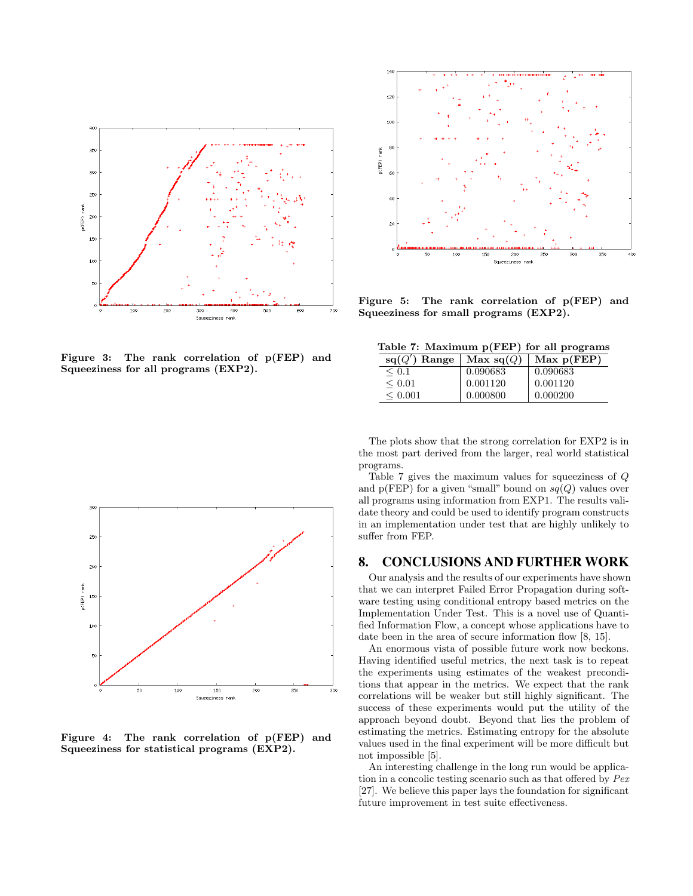

Figure 3: The rank correlation of p(FEP) and Squeeziness for all programs (EXP2).



Figure 4: The rank correlation of p(FEP) and Squeeziness for statistical programs (EXP2).



Figure 5: The rank correlation of p(FEP) and Squeeziness for small programs (EXP2).

Table 7: Maximum p(FEP) for all programs

| $sq(Q')$ Range | Max $sq(Q)$ | Max p(FEP) |
|----------------|-------------|------------|
| $\leq 0.1$     | 0.090683    | 0.090683   |
| $\leq 0.01$    | 0.001120    | 0.001120   |
| $\leq 0.001$   | 0.000800    | 0.000200   |

The plots show that the strong correlation for EXP2 is in the most part derived from the larger, real world statistical programs.

Table 7 gives the maximum values for squeeziness of Q and  $p(FEP)$  for a given "small" bound on  $sq(Q)$  values over all programs using information from EXP1. The results validate theory and could be used to identify program constructs in an implementation under test that are highly unlikely to suffer from FEP.

# 8. CONCLUSIONS AND FURTHER WORK

Our analysis and the results of our experiments have shown that we can interpret Failed Error Propagation during software testing using conditional entropy based metrics on the Implementation Under Test. This is a novel use of Quantified Information Flow, a concept whose applications have to date been in the area of secure information flow [8, 15].

An enormous vista of possible future work now beckons. Having identified useful metrics, the next task is to repeat the experiments using estimates of the weakest preconditions that appear in the metrics. We expect that the rank correlations will be weaker but still highly significant. The success of these experiments would put the utility of the approach beyond doubt. Beyond that lies the problem of estimating the metrics. Estimating entropy for the absolute values used in the final experiment will be more difficult but not impossible [5].

An interesting challenge in the long run would be application in a concolic testing scenario such as that offered by Pex [27]. We believe this paper lays the foundation for significant future improvement in test suite effectiveness.